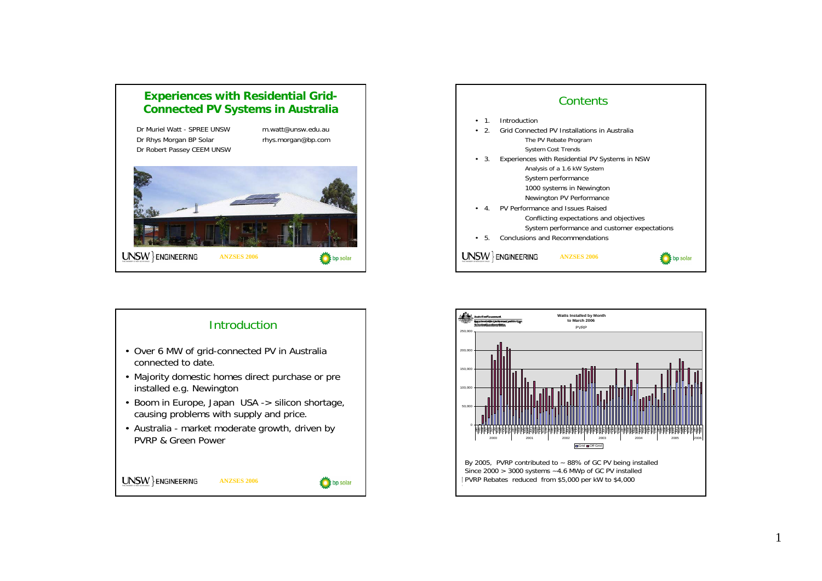## **Experiences with Residential Grid-Connected PV Systems in Australia**

Dr Muriel Watt - SPREE UNSW m.watt@unsw.edu.au. Dr Rhys Morgan BP Solar rhys.morgan@bp.com Dr Robert Passey CEEM UNSW







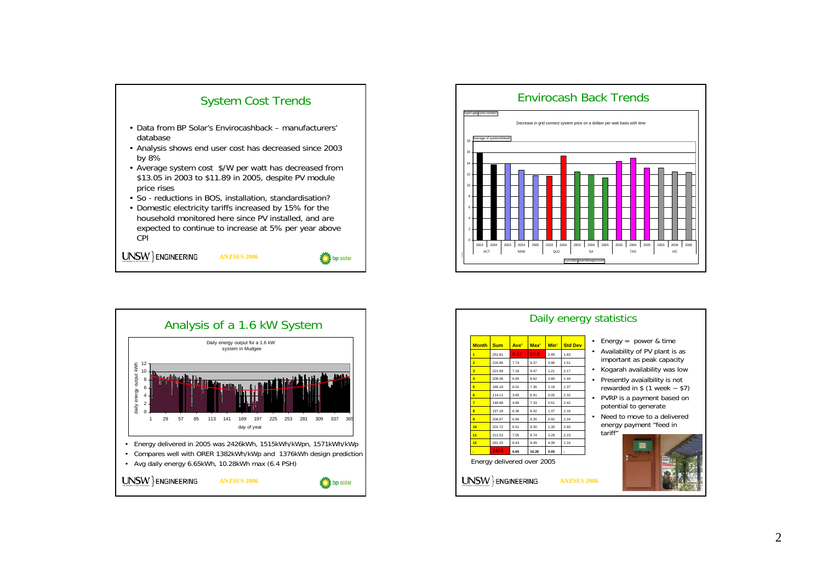





| 8.12<br>10.3<br>2.49<br>25181<br>183<br>9.37<br>216.86<br>774<br>3.96<br>1.51<br>221.99<br>947<br>1 21<br>217<br>7 16<br>208.36<br>6.95<br>8.62<br>2.80<br>1 44<br>186 18<br>6.01<br>7.36<br>2.19<br>1.37<br>2.32<br>114 11<br>3.80<br>6.91<br>0.05 |
|-----------------------------------------------------------------------------------------------------------------------------------------------------------------------------------------------------------------------------------------------------|
|                                                                                                                                                                                                                                                     |
|                                                                                                                                                                                                                                                     |
|                                                                                                                                                                                                                                                     |
|                                                                                                                                                                                                                                                     |
|                                                                                                                                                                                                                                                     |
|                                                                                                                                                                                                                                                     |
| 242<br>148.88<br>7.33<br>0.51<br>480                                                                                                                                                                                                                |
| 197 18<br>6.36<br>8.42<br>1.37<br>216                                                                                                                                                                                                               |
| 9.35<br>0.92<br>224<br>206.97<br>6.90                                                                                                                                                                                                               |
| 20172<br>9.30<br>1.30<br>2.60<br>6.51                                                                                                                                                                                                               |
| 211.53<br>7.05<br>974<br>2.29<br>223                                                                                                                                                                                                                |
| 261.20<br>843<br>949<br>4.39<br>1 16                                                                                                                                                                                                                |
| 2426<br>6.65<br>10.28<br>0.05                                                                                                                                                                                                                       |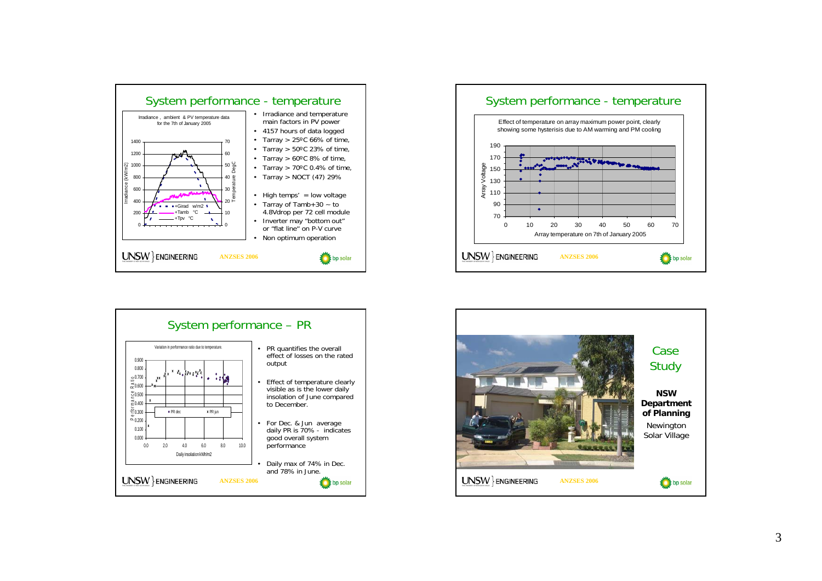





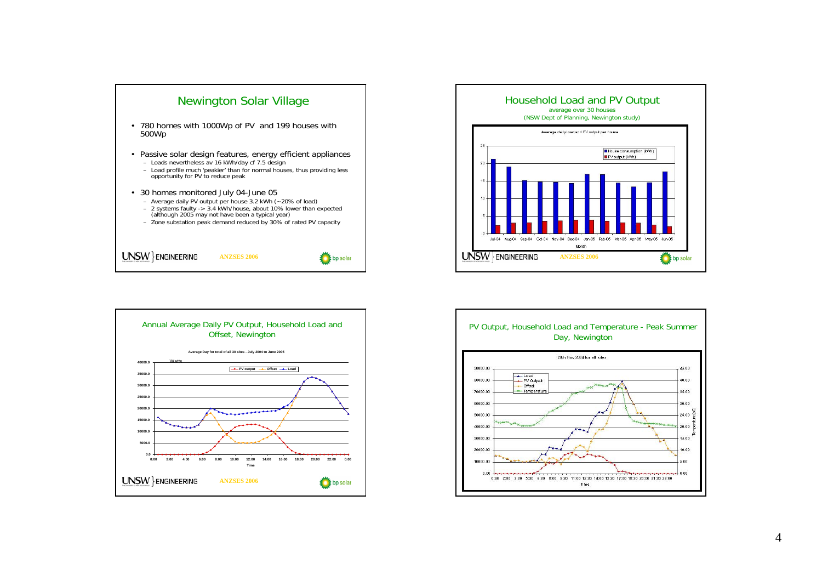





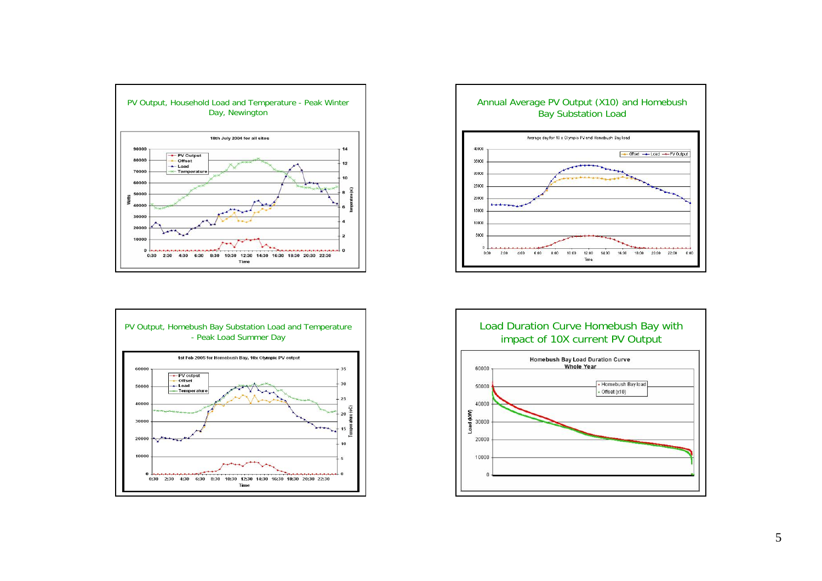





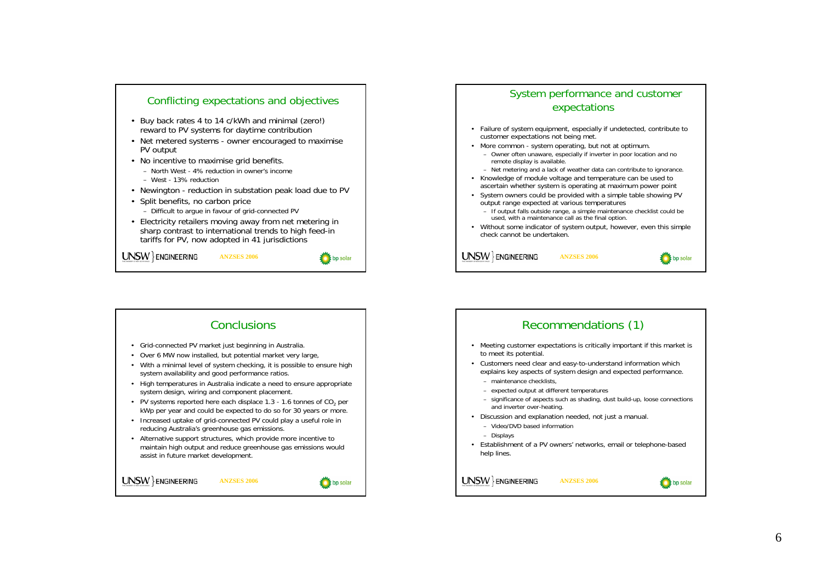

## **Conclusions** Recommendations (1) • Grid-connected PV market just beginning in Australia. • Meeting customer expectations is critically important if this market is to meet its potential. • Over 6 MW now installed, but potential market very large, • Customers need clear and easy-to-understand information which • With a minimal level of system checking, it is possible to ensure high explains key aspects of system design and expected performance. system availability and good performance ratios. – maintenance checklists, • High temperatures in Australia indicate a need to ensure appropriate system design, wiring and component placement. – expected output at different temperatures – significance of aspects such as shading, dust build-up, loose connections • PV systems reported here each displace 1.3 - 1.6 tonnes of  $CO_2$  per and inverter over-heating. kWp per year and could be expected to do so for 30 years or more. • Discussion and explanation needed, not just a manual. • Increased uptake of grid-connected PV could play a useful role in – Video/DVD based information reducing Australia's greenhouse gas emissions. – Displays • Alternative support structures, which provide more incentive to • Establishment of a PV owners' networks, email or telephone-based maintain high output and reduce greenhouse gas emissions would help lines. assist in future market development.  $UNSW$ } ENGINEERING UNSW ENGINEERING **ANZSES 2006ANZSES 2006**bp solar

## System performance and customer expectations

- Failure of system equipment, especially if undetected, contribute to customer expectations not being met.
- More common system operating, but not at optimum.
- Owner often unaware, especially if inverter in poor location and no remote display is available.
- Net metering and a lack of weather data can contribute to ignorance.
- Knowledge of module voltage and temperature can be used to ascertain whether system is operating at maximum power point
- System owners could be provided with a simple table showing PV output range expected at various temperatures
	- If output falls outside range, a simple maintenance checklist could be used, with a maintenance call as the final option.
- Without some indicator of system output, however, even this simple check cannot be undertaken.

UNSW ENGINEERING **ANZSES 2006**bp solar